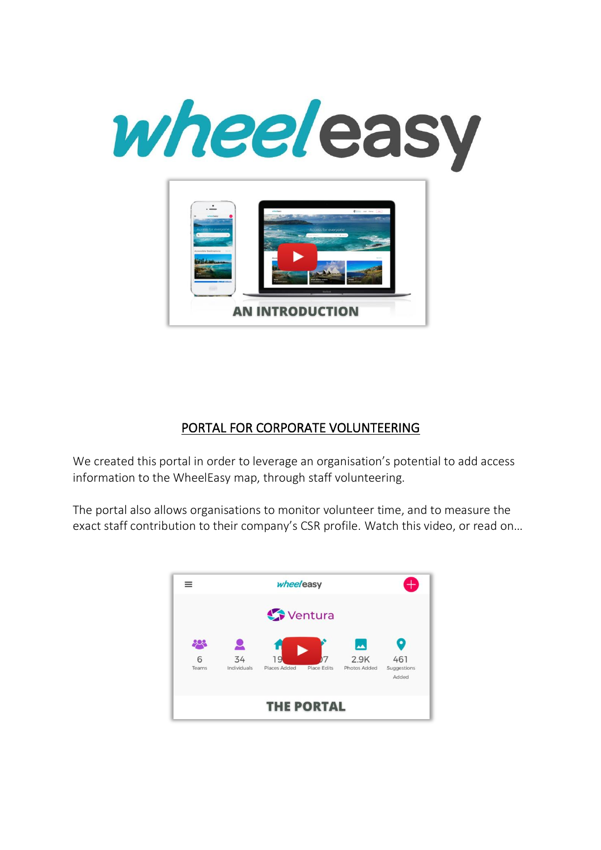

## PORTAL FOR CORPORATE VOLUNTEERING

We created this portal in order to leverage an organisation's potential to add access information to the WheelEasy map, through staff volunteering.

The portal also allows organisations to monitor volunteer time, and to measure the exact staff contribution to their company's CSR profile. Watch this video, or read on…

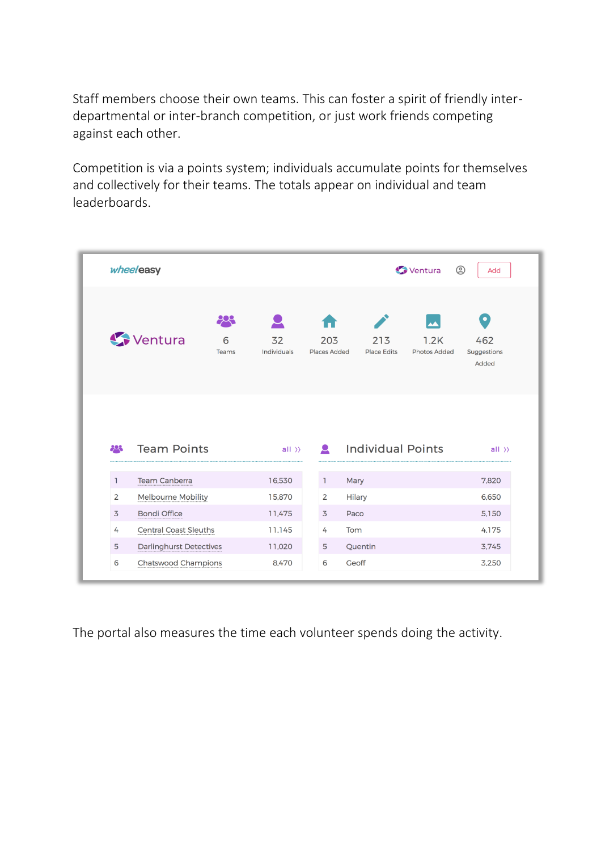Staff members choose their own teams. This can foster a spirit of friendly interdepartmental or inter-branch competition, or just work friends competing against each other.

Competition is via a points system; individuals accumulate points for themselves and collectively for their teams. The totals appear on individual and team leaderboards.

| wheeleasy      |                                | $\circledS$<br>Ventura<br>Add |                   |                            |                           |                                  |                                          |
|----------------|--------------------------------|-------------------------------|-------------------|----------------------------|---------------------------|----------------------------------|------------------------------------------|
|                | Ventura                        | 908<br>6<br>Teams             | 32<br>Individuals | 203<br><b>Places Added</b> | 213<br><b>Place Edits</b> | ┻<br>1.2K<br><b>Photos Added</b> | $\bullet$<br>462<br>Suggestions<br>Added |
|                |                                |                               |                   |                            |                           |                                  |                                          |
| 893            | <b>Team Points</b>             |                               | $all \rightarrow$ | $\bullet$                  | <b>Individual Points</b>  |                                  | $all \rightarrow$                        |
| $\mathbb{I}$   | <b>Team Canberra</b>           |                               | 16,530            | L.<br>Mary                 |                           |                                  | 7,820                                    |
| $\overline{2}$ | <b>Melbourne Mobility</b>      |                               | 15,870            | $\overline{2}$             | <b>Hilary</b>             |                                  | 6.650                                    |
| $\overline{3}$ | <b>Bondi Office</b>            |                               | 11.475            | $\overline{5}$<br>Paco     |                           |                                  | 5.150                                    |
| 4              | <b>Central Coast Sleuths</b>   |                               | 11,145            | Tom<br>4                   |                           |                                  | 4.175                                    |
| 5              | <b>Darlinghurst Detectives</b> |                               | 11,020            | 5                          | Quentin                   |                                  | 3.745                                    |

The portal also measures the time each volunteer spends doing the activity.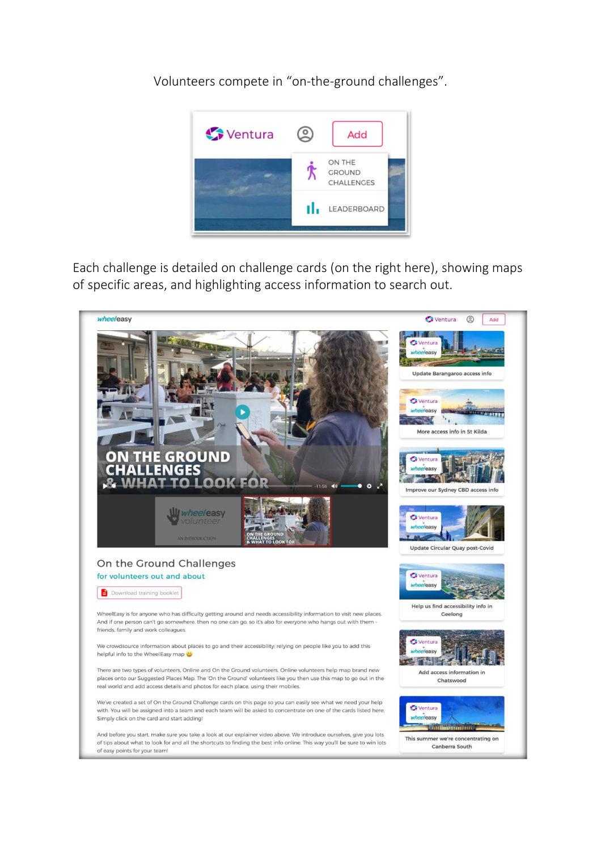Volunteers compete in "on-the-ground challenges".



Each challenge is detailed on challenge cards (on the right here), showing maps of specific areas, and highlighting access information to search out.

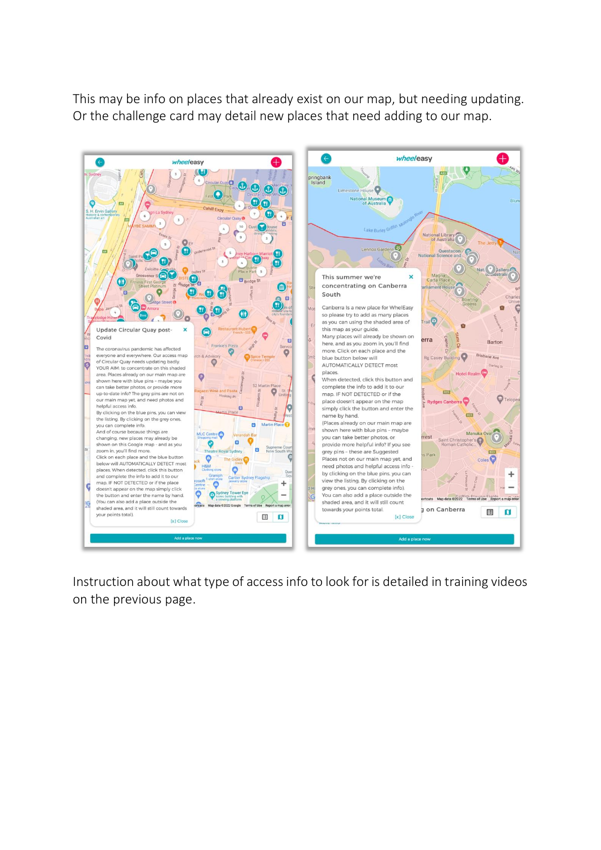This may be info on places that already exist on our map, but needing updating. Or the challenge card may detail new places that need adding to our map.



Instruction about what type of access info to look for is detailed in training videos on the previous page.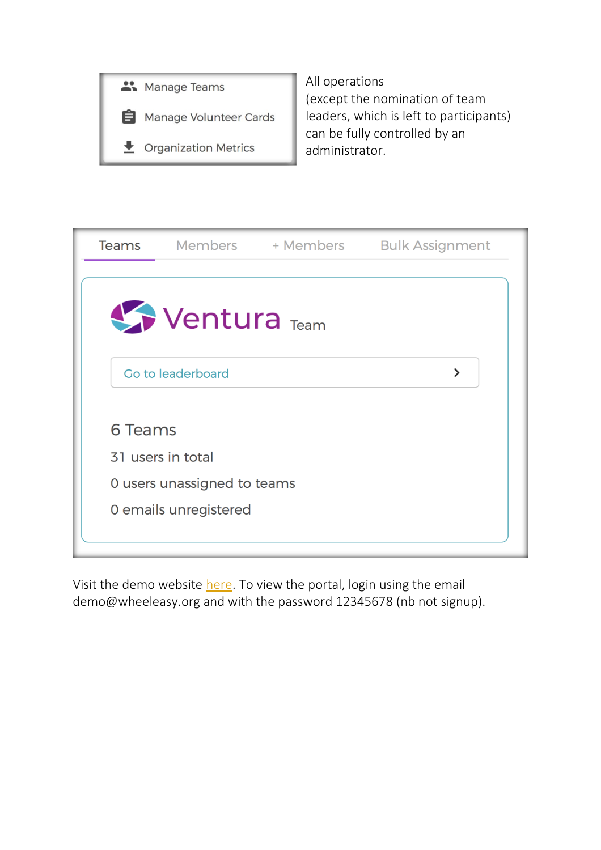

All operations (except the nomination of team leaders, which is left to participants) can be fully controlled by an administrator.



Visit the demo website here. To view the portal, login using the email demo@wheeleasy.org and with the password 12345678 (nb not signup).